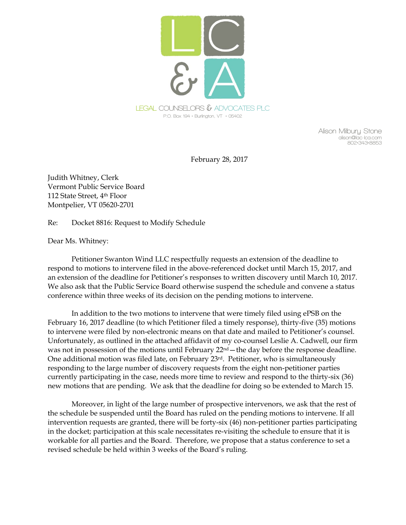

**Alison Milbury Stone alison@lac-lca.com 802•343•8853** 

February 28, 2017

Judith Whitney, Clerk Vermont Public Service Board 112 State Street, 4th Floor Montpelier, VT 05620-2701

Re: Docket 8816: Request to Modify Schedule

Dear Ms. Whitney:

Petitioner Swanton Wind LLC respectfully requests an extension of the deadline to respond to motions to intervene filed in the above-referenced docket until March 15, 2017, and an extension of the deadline for Petitioner's responses to written discovery until March 10, 2017. We also ask that the Public Service Board otherwise suspend the schedule and convene a status conference within three weeks of its decision on the pending motions to intervene.

In addition to the two motions to intervene that were timely filed using ePSB on the February 16, 2017 deadline (to which Petitioner filed a timely response), thirty-five (35) motions to intervene were filed by non-electronic means on that date and mailed to Petitioner's counsel. Unfortunately, as outlined in the attached affidavit of my co-counsel Leslie A. Cadwell, our firm was not in possession of the motions until February 22<sup>nd</sup> – the day before the response deadline. One additional motion was filed late, on February  $23<sup>rd</sup>$ . Petitioner, who is simultaneously responding to the large number of discovery requests from the eight non-petitioner parties currently participating in the case, needs more time to review and respond to the thirty-six (36) new motions that are pending. We ask that the deadline for doing so be extended to March 15.

Moreover, in light of the large number of prospective intervenors, we ask that the rest of the schedule be suspended until the Board has ruled on the pending motions to intervene. If all intervention requests are granted, there will be forty-six (46) non-petitioner parties participating in the docket; participation at this scale necessitates re-visiting the schedule to ensure that it is workable for all parties and the Board. Therefore, we propose that a status conference to set a revised schedule be held within 3 weeks of the Board's ruling.